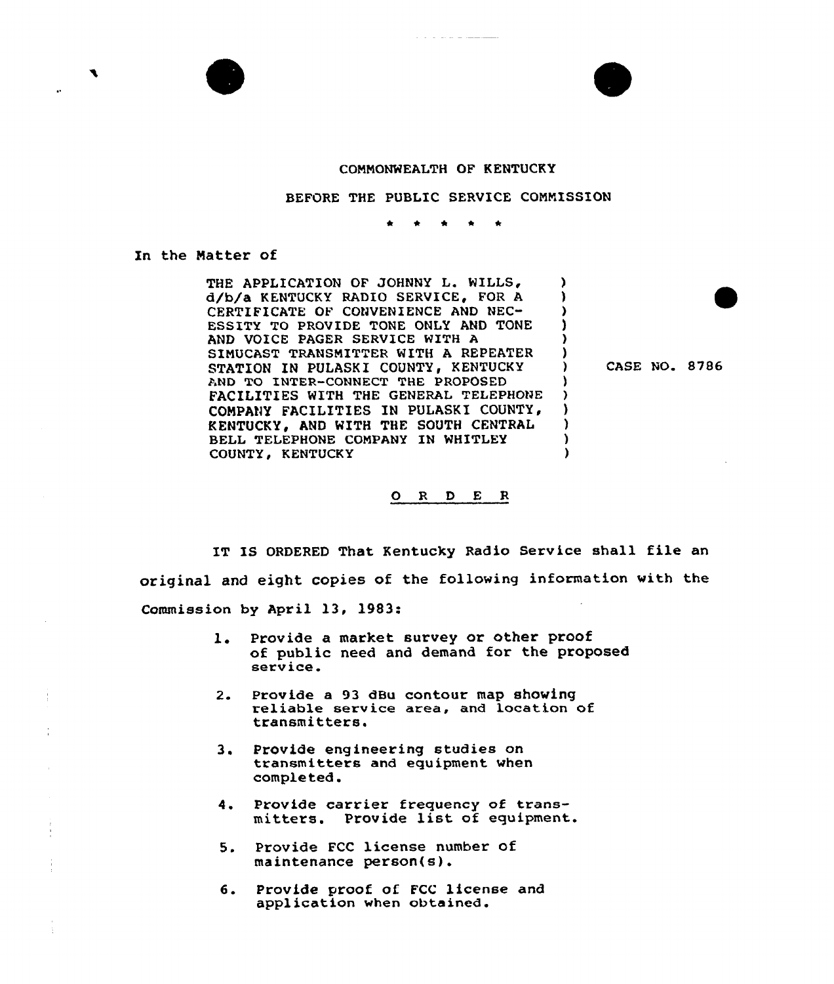

## CONNONWEALTH OF KENTUCKY

BEFORE THE PUBLIC SERVICE COMMISSION

 $\bullet$ 

In the Natter of

THE APPLICATION OF JOHNNY L. WILLS, d/b/a KENTUCKY RADIO SERVICE, FOR A CERTIFICATE OF CONVENIENCE AND NEC-ESSITY TO PROVIDE TONE ONLY AND TONE AND VOICE PAGER SERVICE WITH A SIMUCAST TRANSNITTER WITH A REPEATER STATION IN PULASKI COUNTY, KENTUCKY AND TG INTER-CONNECT THE PROPOSED FACILITIES WITH THE GENERAL TELEPHONE CONPANY FACILITIES IN PULASKI COUNTY, KENTUCKY, AND WITH THE SOUTH CENTRAL BELL TELEPHONE CQNPANY IN WHITLEY COUNTY, KENTUCKY

CASE NO. 8786

)

)<br>) ) )<br>)

3 ) ) ) ) )

## 0 <sup>R</sup> <sup>D</sup> E <sup>R</sup>

IT IS ORDERED That Kentucky Radio Service shall file an original and eight copies of the following information with the Commission by April 13, 1983:

- 1. Provide a market survey or other proof of public need and demand for the proposed service.
- Provide <sup>a</sup> <sup>93</sup> dBu contour map showing reliable service area, and location of  $2.$ transmitters.
- $3.$ Provide engineering studies on transmitters and equipment when completed.
- 4. Provide carrier frequency of transmitters. Provide list of equipment.
- 5. Provide FCC license number of maintenance person(s).
- Provide proof of FCC license and 6. application when obtained.